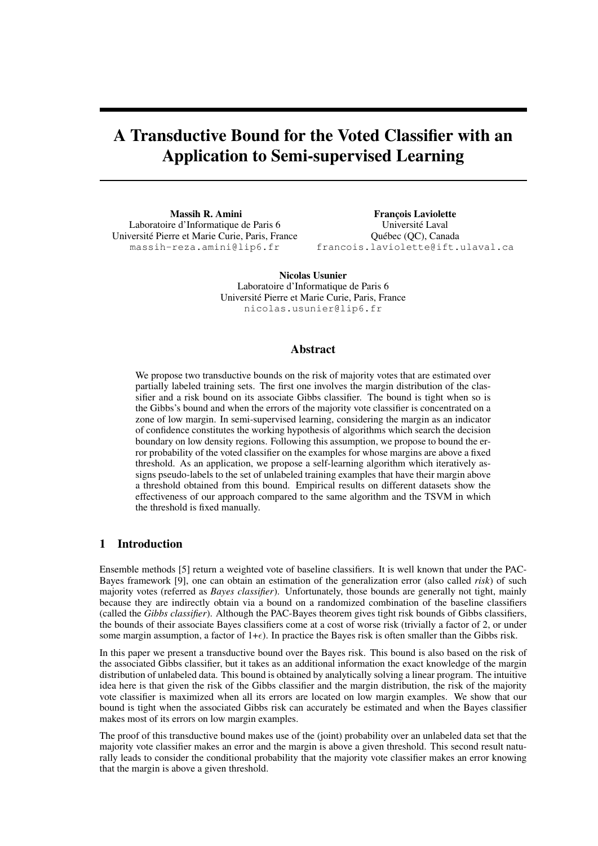# A Transductive Bound for the Voted Classifier with an Application to Semi-supervised Learning

Massih R. Amini Laboratoire d'Informatique de Paris 6 Universite Pierre et Marie Curie, Paris, France ´ massih-reza.amini@lip6.fr

François Laviolette Université Laval Quebec (QC), Canada ´ francois.laviolette@ift.ulaval.ca

Nicolas Usunier Laboratoire d'Informatique de Paris 6 Universite Pierre et Marie Curie, Paris, France ´ nicolas.usunier@lip6.fr

## Abstract

We propose two transductive bounds on the risk of majority votes that are estimated over partially labeled training sets. The first one involves the margin distribution of the classifier and a risk bound on its associate Gibbs classifier. The bound is tight when so is the Gibbs's bound and when the errors of the majority vote classifier is concentrated on a zone of low margin. In semi-supervised learning, considering the margin as an indicator of confidence constitutes the working hypothesis of algorithms which search the decision boundary on low density regions. Following this assumption, we propose to bound the error probability of the voted classifier on the examples for whose margins are above a fixed threshold. As an application, we propose a self-learning algorithm which iteratively assigns pseudo-labels to the set of unlabeled training examples that have their margin above a threshold obtained from this bound. Empirical results on different datasets show the effectiveness of our approach compared to the same algorithm and the TSVM in which the threshold is fixed manually.

## 1 Introduction

Ensemble methods [5] return a weighted vote of baseline classifiers. It is well known that under the PAC-Bayes framework [9], one can obtain an estimation of the generalization error (also called *risk*) of such majority votes (referred as *Bayes classifier*). Unfortunately, those bounds are generally not tight, mainly because they are indirectly obtain via a bound on a randomized combination of the baseline classifiers (called the *Gibbs classifier*). Although the PAC-Bayes theorem gives tight risk bounds of Gibbs classifiers, the bounds of their associate Bayes classifiers come at a cost of worse risk (trivially a factor of 2, or under some margin assumption, a factor of  $1+\epsilon$ ). In practice the Bayes risk is often smaller than the Gibbs risk.

In this paper we present a transductive bound over the Bayes risk. This bound is also based on the risk of the associated Gibbs classifier, but it takes as an additional information the exact knowledge of the margin distribution of unlabeled data. This bound is obtained by analytically solving a linear program. The intuitive idea here is that given the risk of the Gibbs classifier and the margin distribution, the risk of the majority vote classifier is maximized when all its errors are located on low margin examples. We show that our bound is tight when the associated Gibbs risk can accurately be estimated and when the Bayes classifier makes most of its errors on low margin examples.

The proof of this transductive bound makes use of the (joint) probability over an unlabeled data set that the majority vote classifier makes an error and the margin is above a given threshold. This second result naturally leads to consider the conditional probability that the majority vote classifier makes an error knowing that the margin is above a given threshold.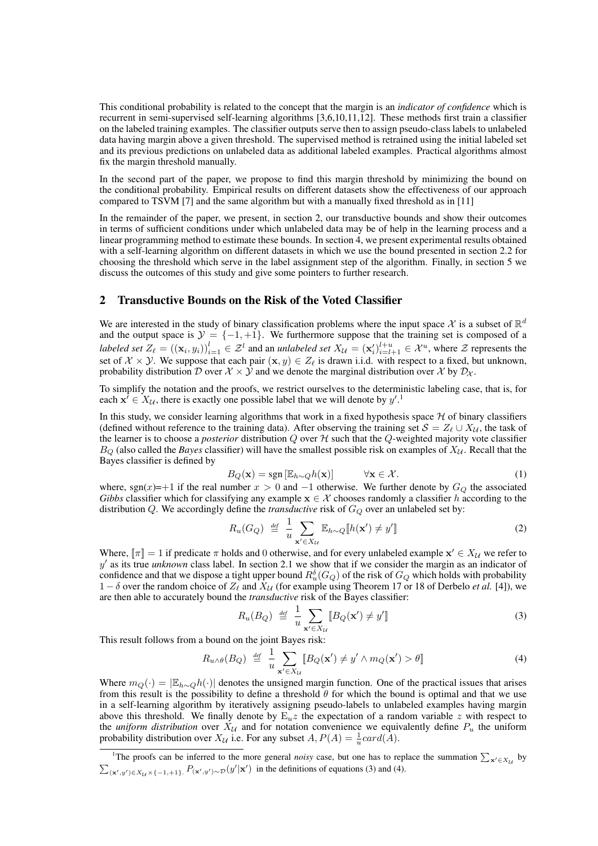This conditional probability is related to the concept that the margin is an *indicator of confidence* which is recurrent in semi-supervised self-learning algorithms [3,6,10,11,12]. These methods first train a classifier on the labeled training examples. The classifier outputs serve then to assign pseudo-class labels to unlabeled data having margin above a given threshold. The supervised method is retrained using the initial labeled set and its previous predictions on unlabeled data as additional labeled examples. Practical algorithms almost fix the margin threshold manually.

In the second part of the paper, we propose to find this margin threshold by minimizing the bound on the conditional probability. Empirical results on different datasets show the effectiveness of our approach compared to TSVM [7] and the same algorithm but with a manually fixed threshold as in [11]

In the remainder of the paper, we present, in section 2, our transductive bounds and show their outcomes in terms of sufficient conditions under which unlabeled data may be of help in the learning process and a linear programming method to estimate these bounds. In section 4, we present experimental results obtained with a self-learning algorithm on different datasets in which we use the bound presented in section 2.2 for choosing the threshold which serve in the label assignment step of the algorithm. Finally, in section 5 we discuss the outcomes of this study and give some pointers to further research.

## 2 Transductive Bounds on the Risk of the Voted Classifier

We are interested in the study of binary classification problems where the input space  $\mathcal X$  is a subset of  $\mathbb R^d$ and the output space is  $\mathcal{Y} = \{-1, +1\}$ . We furthermore suppose that the training set is composed of a *labeled set*  $Z_\ell = ((\mathbf{x}_i, y_i))_{i=1}^l \in \mathcal{Z}^l$  and an *unlabeled set*  $X_{\mathcal{U}} = (\mathbf{x}'_i)_{i=l+1}^{l+u} \in \mathcal{X}^u$ , where  $\mathcal{Z}$  represents the set of  $X \times Y$ . We suppose that each pair  $(x, y) \in Z_\ell$  is drawn i.i.d. with respect to a fixed, but unknown, probability distribution D over  $\mathcal{X} \times \mathcal{Y}$  and we denote the marginal distribution over  $\mathcal{X}$  by  $\mathcal{D}_{\mathcal{X}}$ .

To simplify the notation and the proofs, we restrict ourselves to the deterministic labeling case, that is, for each  $x^i \in X_{\mathcal{U}}$ , there is exactly one possible label that we will denote by  $y'^{1}$ .

In this study, we consider learning algorithms that work in a fixed hypothesis space  $H$  of binary classifiers (defined without reference to the training data). After observing the training set  $S = Z_{\ell} \cup X_{\mathcal{U}}$ , the task of the learner is to choose a *posterior* distribution  $Q$  over  $H$  such that the  $Q$ -weighted majority vote classifier  $B_Q$  (also called the *Bayes* classifier) will have the smallest possible risk on examples of  $X_U$ . Recall that the Bayes classifier is defined by

$$
B_Q(\mathbf{x}) = \text{sgn}\left[\mathbb{E}_{h \sim Q} h(\mathbf{x})\right] \qquad \forall \mathbf{x} \in \mathcal{X}.
$$
 (1)

where, sgn(x)=+1 if the real number  $x > 0$  and -1 otherwise. We further denote by  $G_Q$  the associated *Gibbs* classifier which for classifying any example  $x \in \mathcal{X}$  chooses randomly a classifier h according to the distribution  $Q$ . We accordingly define the *transductive* risk of  $G_Q$  over an unlabeled set by:

$$
R_u(G_Q) \stackrel{\text{def}}{=} \frac{1}{u} \sum_{\mathbf{x}' \in X_{\mathcal{U}}} \mathbb{E}_{h \sim Q} [\![ h(\mathbf{x}') \neq y' ]\!] \tag{2}
$$

Where,  $[\![\pi]\!] = 1$  if predicate  $\pi$  holds and 0 otherwise, and for every unlabeled example  $x' \in X_{\mathcal{U}}$  we refer to  $y'$  as its true *unknown* class label. In section 2.1 we show that if we consider the margin as an indicator of confidence and that we dispose a tight upper bound  $R_u^{\delta}(G_Q)$  of the risk of  $G_Q$  which holds with probability 1 –  $\delta$  over the random choice of  $Z_\ell$  and  $X_\mathcal{U}$  (for example using Theorem 17 or 18 of Derbelo *et al.* [4]), we are then able to accurately bound the *transductive* risk of the Bayes classifier:

$$
R_u(B_Q) \stackrel{\text{def}}{=} \frac{1}{u} \sum_{\mathbf{x}' \in X_{\mathcal{U}}} [B_Q(\mathbf{x}') \neq y'] \tag{3}
$$

This result follows from a bound on the joint Bayes risk:

$$
R_{u \wedge \theta}(B_Q) \stackrel{\text{def}}{=} \frac{1}{u} \sum_{\mathbf{x}' \in X_{\mathcal{U}}} [B_Q(\mathbf{x}') \neq y' \wedge m_Q(\mathbf{x}') > \theta]
$$
\n<sup>(4)</sup>

Where  $m_Q(\cdot) = |\mathbb{E}_{h \sim Q} h(\cdot)|$  denotes the unsigned margin function. One of the practical issues that arises from this result is the possibility to define a threshold  $\theta$  for which the bound is optimal and that we use in a self-learning algorithm by iteratively assigning pseudo-labels to unlabeled examples having margin above this threshold. We finally denote by  $E_u z$  the expectation of a random variable z with respect to the *uniform distribution* over  $X_{\mathcal{U}}$  and for notation convenience we equivalently define  $P_u$  the uniform probability distribution over  $X_{\mathcal{U}}$  i.e. For any subset  $A, P(A) = \frac{1}{u} \text{card}(\hat{A})$ .

<sup>&</sup>lt;sup>1</sup>The proofs can be inferred to the more general *noisy* case, but one has to replace the summation  $\sum_{x' \in X_{\mathcal{U}}}$  by  $\sum_{(\mathbf{x}',y') \in X_{\mathcal{U}} \times \{-1,+1\}} P_{(\mathbf{x}',y') \sim \mathcal{D}}(y'|\mathbf{x}')$  in the definitions of equations (3) and (4).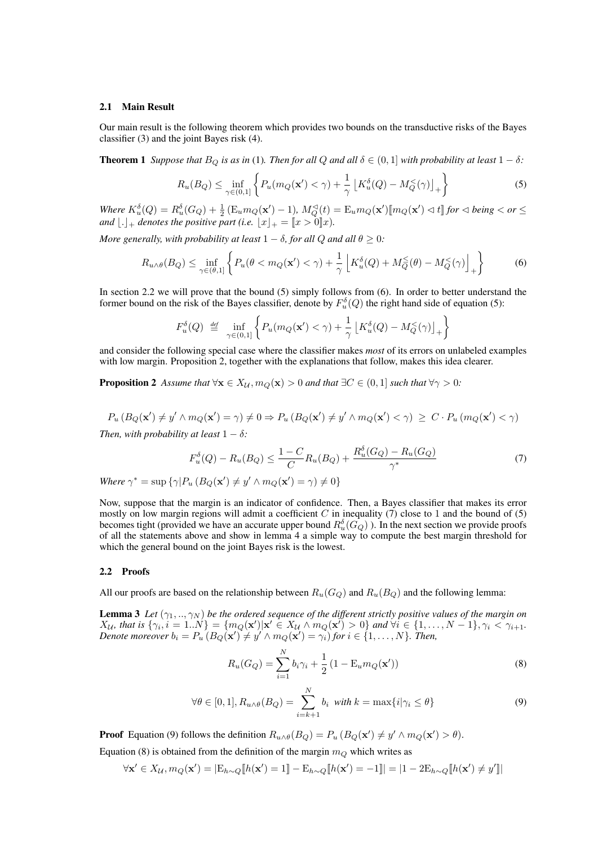## 2.1 Main Result

Our main result is the following theorem which provides two bounds on the transductive risks of the Bayes classifier (3) and the joint Bayes risk (4).

**Theorem 1** *Suppose that*  $B_Q$  *is as in* (1)*. Then for all*  $Q$  *and all*  $\delta \in (0,1]$  *with probability at least*  $1 - \delta$ *:* 

$$
R_u(B_Q) \le \inf_{\gamma \in (0,1]} \left\{ P_u(m_Q(\mathbf{x}') < \gamma) + \frac{1}{\gamma} \left[ K_u^{\delta}(Q) - M_Q^{\langle\gamma\rangle}(\gamma) \right]_+ \right\} \tag{5}
$$

 $W$ *here*  $K_u^{\delta}(Q) = R_u^{\delta}(G_Q) + \frac{1}{2} \left( \mathbb{E}_u m_Q(\mathbf{x}') - 1 \right)$ ,  $M_Q^{\preceq}(t) = \mathbb{E}_u m_Q(\mathbf{x}') [m_Q(\mathbf{x}') \lhd t]$  *for*  $\triangleleft$  *being*  $\lt$  *or*  $\leq$ *and*  $\lfloor . \rfloor_+$  *denotes the positive part (i.e.*  $\lfloor x \rfloor_+ = \lbrack\! \lbrack x > 0 \rbrack\! \rbrack x)$ *.* 

*More generally, with probability at least*  $1 - \delta$ *, for all*  $Q$  *and all*  $\theta \geq 0$ *:* 

$$
R_{u\wedge\theta}(B_Q) \le \inf_{\gamma \in (\theta,1]} \left\{ P_u(\theta < m_Q(\mathbf{x}') < \gamma) + \frac{1}{\gamma} \left[ K_u^\delta(Q) + M_Q^\le(\theta) - M_Q^\le(\gamma) \right]_+ \right\} \tag{6}
$$

In section 2.2 we will prove that the bound (5) simply follows from (6). In order to better understand the former bound on the risk of the Bayes classifier, denote by  $F_u^{\delta}(Q)$  the right hand side of equation (5):

$$
F_u^{\delta}(Q) \stackrel{\text{def}}{=} \inf_{\gamma \in (0,1]} \left\{ P_u(m_Q(\mathbf{x}') < \gamma) + \frac{1}{\gamma} \left[ K_u^{\delta}(Q) - M_Q^{\prec}(\gamma) \right]_+ \right\}
$$

and consider the following special case where the classifier makes *most* of its errors on unlabeled examples with low margin. Proposition 2, together with the explanations that follow, makes this idea clearer.

**Proposition 2** Assume that  $\forall x \in X_{\mathcal{U}}, m_Q(x) > 0$  and that  $\exists C \in (0,1]$  such that  $\forall \gamma > 0$ :

$$
P_u(B_Q(\mathbf{x}') \neq y' \land m_Q(\mathbf{x}') = \gamma) \neq 0 \Rightarrow P_u(B_Q(\mathbf{x}') \neq y' \land m_Q(\mathbf{x}') < \gamma) \geq C \cdot P_u(m_Q(\mathbf{x}') < \gamma)
$$

*Then, with probability at least*  $1 - \delta$ *:* 

$$
F_u^{\delta}(Q) - R_u(B_Q) \le \frac{1 - C}{C} R_u(B_Q) + \frac{R_u^{\delta}(G_Q) - R_u(G_Q)}{\gamma^*}
$$
(7)

*Where*  $\gamma^* = \sup \{ \gamma | P_u (B_Q(\mathbf{x}') \neq y' \land m_Q(\mathbf{x}') = \gamma) \neq 0 \}$ 

Now, suppose that the margin is an indicator of confidence. Then, a Bayes classifier that makes its error mostly on low margin regions will admit a coefficient  $C$  in inequality (7) close to 1 and the bound of (5) becomes tight (provided we have an accurate upper bound  $R_u^{\delta}(G_Q)$ ). In the next section we provide proofs of all the statements above and show in lemma 4 a simple way to compute the best margin threshold for which the general bound on the joint Bayes risk is the lowest.

#### 2.2 Proofs

All our proofs are based on the relationship between  $R_u(G_Q)$  and  $R_u(B_Q)$  and the following lemma:

**Lemma 3** Let  $(\gamma_1,..,\gamma_N)$  be the ordered sequence of the different strictly positive values of the margin on  $X_{\mathcal{U}}$ , that is  $\{\gamma_i, i = 1..N\} = \{m_Q(\mathbf{x}')|\mathbf{x}' \in X_{\mathcal{U}} \wedge m_Q(\mathbf{x}') > 0\}$  and  $\forall i \in \{1, ..., N-1\}, \gamma_i < \gamma_{i+1}$ . *Denote moreover*  $b_i = P_u(B_Q(\mathbf{x}') \neq y' \wedge m_Q(\mathbf{x}') = \gamma_i$  *for*  $i \in \{1, \ldots, N\}$ *. Then,* 

$$
R_u(G_Q) = \sum_{i=1}^{N} b_i \gamma_i + \frac{1}{2} (1 - \mathcal{E}_u m_Q(\mathbf{x}')) \tag{8}
$$

$$
\forall \theta \in [0, 1], R_{u \wedge \theta}(B_Q) = \sum_{i=k+1}^{N} b_i \text{ with } k = \max\{i | \gamma_i \le \theta\}
$$
 (9)

**Proof** Equation (9) follows the definition  $R_{u\wedge\theta}(B_Q) = P_u (B_Q(\mathbf{x}') \neq y' \wedge m_Q(\mathbf{x}') > \theta)$ .

Equation (8) is obtained from the definition of the margin  $m_Q$  which writes as

$$
\forall \mathbf{x}' \in X_{\mathcal{U}}, m_Q(\mathbf{x}') = |E_{h \sim Q}[h(\mathbf{x}') = 1] - E_{h \sim Q}[h(\mathbf{x}') = -1]| = |1 - 2E_{h \sim Q}[h(\mathbf{x}') \neq y']|
$$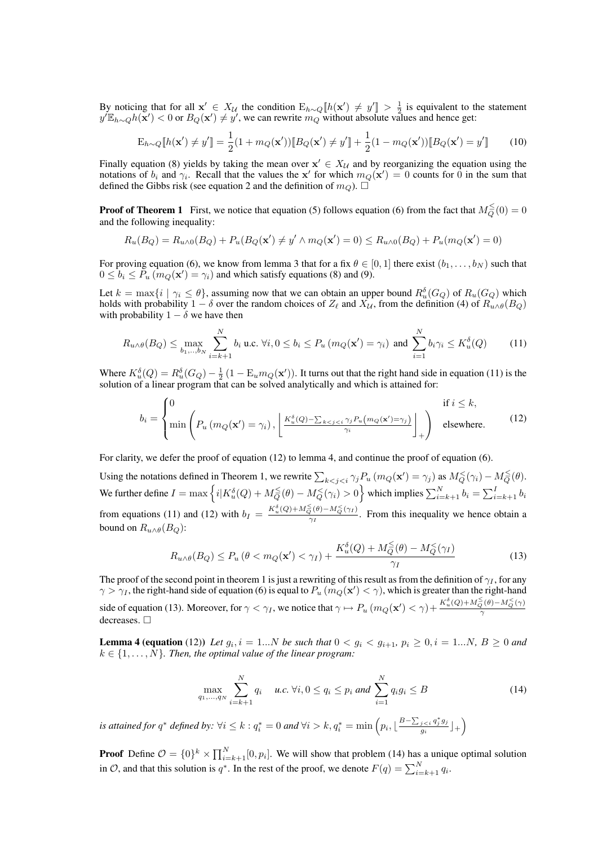By noticing that for all  $\mathbf{x}' \in X_{\mathcal{U}}$  the condition  $E_{h \sim Q} [h(\mathbf{x}') \neq y'] > \frac{1}{2}$  is equivalent to the statement  $y' \mathbb{E}_{h \sim Q} h(\mathbf{x}') < 0$  or  $B_Q(\mathbf{x}') \neq y'$ , we can rewrite  $m_Q$  without absolute values and hence get:

$$
\mathbf{E}_{h \sim Q} \llbracket h(\mathbf{x}') \neq y' \rrbracket = \frac{1}{2} (1 + m_Q(\mathbf{x}')) \llbracket B_Q(\mathbf{x}') \neq y' \rrbracket + \frac{1}{2} (1 - m_Q(\mathbf{x}')) \llbracket B_Q(\mathbf{x}') = y' \rrbracket \tag{10}
$$

Finally equation (8) yields by taking the mean over  $x' \in X_{\mathcal{U}}$  and by reorganizing the equation using the notations of  $b_i$  and  $\gamma_i$ . Recall that the values the x' for which  $m_Q(\mathbf{x}') = 0$  counts for 0 in the sum that defined the Gibbs risk (see equation 2 and the definition of  $m_Q$ ).  $\Box$ 

**Proof of Theorem 1** First, we notice that equation (5) follows equation (6) from the fact that  $M_Q^{\leq}(0) = 0$ and the following inequality:

$$
R_u(B_Q) = R_{u \wedge 0}(B_Q) + P_u(B_Q(\mathbf{x}') \neq y' \wedge m_Q(\mathbf{x}') = 0) \leq R_{u \wedge 0}(B_Q) + P_u(m_Q(\mathbf{x}') = 0)
$$

For proving equation (6), we know from lemma 3 that for a fix  $\theta \in [0,1]$  there exist  $(b_1, \ldots, b_N)$  such that  $0 \le b_i \le \tilde{P}_u \left( m_Q(\mathbf{x}') = \gamma_i \right)$  and which satisfy equations (8) and (9).

Let  $k = \max\{i \mid \gamma_i \le \theta\}$ , assuming now that we can obtain an upper bound  $R_u^{\delta}(G_Q)$  of  $R_u(G_Q)$  which holds with probability  $1 - \delta$  over the random choices of  $Z_\ell$  and  $X_\mathcal{U}$ , from the definition (4) of  $R_{u \wedge \theta}(B_Q)$ with probability  $1 - \delta$  we have then

$$
R_{u \wedge \theta}(B_Q) \le \max_{b_1, \dots, b_N} \sum_{i=k+1}^N b_i \text{ u.c. } \forall i, 0 \le b_i \le P_u \left( m_Q(\mathbf{x}') = \gamma_i \right) \text{ and } \sum_{i=1}^N b_i \gamma_i \le K_u^{\delta}(Q) \tag{11}
$$

Where  $K_u^{\delta}(Q) = R_u^{\delta}(G_Q) - \frac{1}{2}(1 - \mathbb{E}_u m_Q(\mathbf{x}'))$ . It turns out that the right hand side in equation (11) is the solution of a linear program that can be solved analytically and which is attained for:

$$
b_{i} = \begin{cases} 0 & \text{if } i \leq k, \\ \min\left(P_{u}\left(m_{Q}(\mathbf{x}') = \gamma_{i}\right), \left\lfloor \frac{K_{u}^{\delta}(Q) - \sum_{k < j < i} \gamma_{j} P_{u}\left(m_{Q}(\mathbf{x}') = \gamma_{j}\right)}{\gamma_{i}}\right\rfloor_{+}\right) & \text{elsewhere.} \end{cases} \tag{12}
$$

For clarity, we defer the proof of equation (12) to lemma 4, and continue the proof of equation (6).

Using the notations defined in Theorem 1, we rewrite  $\sum_{k \le j \le i} \gamma_j P_u (m_Q(\mathbf{x}') = \gamma_j)$  as  $M_Q^{\le}(\gamma_i) - M_Q^{\le}(\theta)$ . We further define  $I = \max\left\{i|K_u^\delta(Q) + M_Q^{\leq}(\theta) - M_Q^<(\gamma_i) > 0\right\}$  which implies  $\sum_{i=k+1}^N b_i = \sum_{i=k+1}^I b_i$ from equations (11) and (12) with  $b_I = \frac{K_u^{\delta}(Q) + M_Q^{\leq}(\theta) - M_Q^{\leq}(\gamma_I)}{\gamma_I}$  $\frac{Q^{(0)}-MQ(11)}{\gamma_1}$ . From this inequality we hence obtain a bound on  $R_{u \wedge \theta}(B_Q)$ :

$$
R_{u \wedge \theta}(B_Q) \le P_u \left(\theta < m_Q(\mathbf{x}') < \gamma_I\right) + \frac{K_u^{\delta}(Q) + M_Q^{\leq}(\theta) - M_Q^{\leq}(\gamma_I)}{\gamma_I} \tag{13}
$$

The proof of the second point in theorem 1 is just a rewriting of this result as from the definition of  $\gamma_I$ , for any  $\gamma > \gamma_I$ , the right-hand side of equation (6) is equal to  $P_u$  ( $m_Q(\mathbf{x}') < \gamma$ ), which is greater than the right-hand side of equation (13). Moreover, for  $\gamma < \gamma_I$ , we notice that  $\gamma \mapsto P_u \left( m_Q(\mathbf{x}') < \gamma \right) + \frac{K_u^{\delta}(Q) + M_Q^{\leq}(\theta) - M_Q^{\leq}(\gamma)}{\gamma}$ γ decreases.  $\square$ 

**Lemma 4 (equation** (12)) Let  $g_i$ ,  $i = 1...N$  be such that  $0 < g_i < g_{i+1}$ ,  $p_i \ge 0$ ,  $i = 1...N$ ,  $B \ge 0$  and  $k \in \{1, \ldots, N\}$ . Then, the optimal value of the linear program:

$$
\max_{q_1, ..., q_N} \sum_{i=k+1}^N q_i \quad u.c. \; \forall i, 0 \le q_i \le p_i \; and \; \sum_{i=1}^N q_i g_i \le B \tag{14}
$$

*is attained for*  $q^*$  *defined by:*  $\forall i \leq k : q_i^* = 0$  *and*  $\forall i > k$ ,  $q_i^* = \min\left(p_i, \lfloor \frac{B - \sum_{j < i} q_j^* g_j}{q_i}\right)$  $\frac{j < i}{g_i} \frac{q_j^* g_j}{g_i} \rfloor + \bigg)$ 

**Proof** Define  $\mathcal{O} = \{0\}^k \times \prod_{i=k+1}^N [0, p_i]$ . We will show that problem (14) has a unique optimal solution in  $\mathcal{O}$ , and that this solution is  $q^*$ . In the rest of the proof, we denote  $F(q) = \sum_{i=k+1}^{N} q_i$ .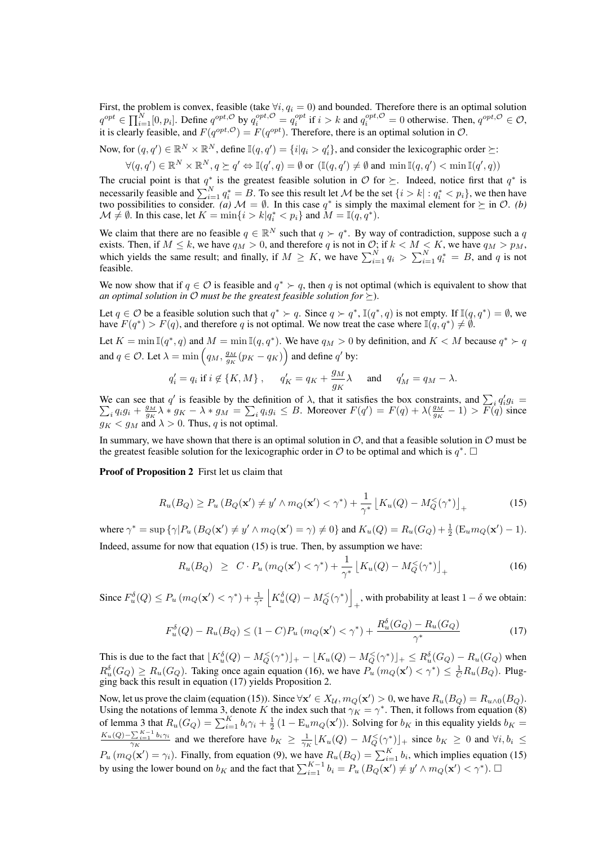First, the problem is convex, feasible (take  $\forall i, q_i = 0$ ) and bounded. Therefore there is an optimal solution  $q^{opt} \in \prod_{i=1}^{N} [0, p_i]$ . Define  $q^{opt, \mathcal{O}}$  by  $q_i^{opt, \mathcal{O}} = q_i^{opt}$  if  $i > k$  and  $q_i^{opt, \mathcal{O}} = 0$  otherwise. Then,  $q^{opt, \mathcal{O}} \in \mathcal{O}$ , it is clearly feasible, and  $F(q^{opt}, \mathcal{O}) = F(q^{opt})$ . Therefore, there is an optimal solution in  $\mathcal{O}$ .

Now, for  $(q, q') \in \mathbb{R}^N \times \mathbb{R}^N$ , define  $\mathbb{I}(q, q') = \{i | q_i > q'_i\}$ , and consider the lexicographic order  $\succeq$ :

$$
\forall (q,q') \in \mathbb{R}^N \times \mathbb{R}^N, q \succeq q' \Leftrightarrow \mathbb{I}(q',q) = \emptyset \text{ or } (\mathbb{I}(q,q') \neq \emptyset \text{ and } \min \mathbb{I}(q,q') < \min \mathbb{I}(q',q))
$$

The crucial point is that  $q^*$  is the greatest feasible solution in  $\mathcal O$  for  $\succeq$ . Indeed, notice first that  $q^*$  is necessarily feasible and  $\sum_{i=1}^{N} q_i^* = B$ . To see this result let M be the set  $\{i > k | : q_i^* < p_i\}$ , we then have two possibilities to consider. (*a*)  $M = \emptyset$ . In this case  $q^*$  is simply the maximal element for  $\succeq$  in  $\mathcal{O}$ . *(b)*  $\mathcal{M} \neq \emptyset$ . In this case, let  $K = \min\{i > k | q_i^* < p_i \}$  and  $M = \mathbb{I}(q, q^*)$ .

We claim that there are no feasible  $q \in \mathbb{R}^N$  such that  $q \succ q^*$ . By way of contradiction, suppose such a q exists. Then, if  $M \leq k$ , we have  $q_M > 0$ , and therefore q is not in  $\mathcal{O}$ ; if  $k < M < K$ , we have  $q_M > p_M$ , which yields the same result; and finally, if  $M \geq K$ , we have  $\sum_{i=1}^{N} q_i > \sum_{i=1}^{N} q_i^* = B$ , and q is not feasible.

We now show that if  $q \in \mathcal{O}$  is feasible and  $q^* \succ q$ , then q is not optimal (which is equivalent to show that *an optimal solution in*  $\mathcal O$  *must be the greatest feasible solution for*  $\succ$ ).

Let  $q \in \mathcal{O}$  be a feasible solution such that  $q^* \succ q$ . Since  $q \succ q^*$ ,  $\mathbb{I}(q^*, q)$  is not empty. If  $\mathbb{I}(q, q^*) = \emptyset$ , we have  $F(q^*) > F(q)$ , and therefore q is not optimal. We now treat the case where  $\mathbb{I}(q, q^*) \neq \emptyset$ .

Let  $K = \min \mathbb{I}(q^*, q)$  and  $M = \min \mathbb{I}(q, q^*)$ . We have  $q_M > 0$  by definition, and  $K < M$  because  $q^* > q$ and  $q \in \mathcal{O}$ . Let  $\lambda = \min\left(q_M, \frac{g_M}{g_K}(p_K - q_K)\right)$  and define  $q'$  by:

$$
q'_i = q_i
$$
 if  $i \notin \{K, M\}$ ,  $q'_K = q_K + \frac{g_M}{g_K}\lambda$  and  $q'_M = q_M - \lambda$ .

We can see that q' is feasible by the definition of  $\lambda$ , that it satisfies the box constraints, and  $\sum_i q'_i$ <br>  $\sum_i q_i g_i + \frac{g_M}{g} \lambda * g_K - \lambda * g_M = \sum_i q_i g_i \leq B$ . Moreover  $F(q') = F(q) + \lambda(\frac{g_M}{g} - 1) > F(q)$  $g_i =$  $i_q q_i g_i + \frac{g_M}{g_K} \lambda * g_K - \lambda * g_M = \sum_i q_i g_i \leq B$ . Moreover  $F(q') = F(q) + \lambda(\frac{g_M}{g_K} - 1) > \overline{F}(q)$  since  $g_K < g_M$  and  $\lambda > 0$ . Thus, q is not optimal.

In summary, we have shown that there is an optimal solution in  $\mathcal{O}$ , and that a feasible solution in  $\mathcal{O}$  must be the greatest feasible solution for the lexicographic order in  $O$  to be optimal and which is  $q^*$ .  $\Box$ 

Proof of Proposition 2 First let us claim that

$$
R_u(B_Q) \ge P_u(B_Q(\mathbf{x}') \neq y' \land m_Q(\mathbf{x}') < \gamma^*) + \frac{1}{\gamma^*} \left[ K_u(Q) - M_Q^{\langle \gamma^* \rangle} \right]_+ \tag{15}
$$

where  $\gamma^* = \sup \{ \gamma | P_u (B_Q(\mathbf{x}') \neq y' \wedge m_Q(\mathbf{x}') = \gamma) \neq 0 \}$  and  $K_u(Q) = R_u(G_Q) + \frac{1}{2} (E_u m_Q(\mathbf{x}') - 1)$ . Indeed, assume for now that equation (15) is true. Then, by assumption we have:

$$
R_u(B_Q) \geq C \cdot P_u \left( m_Q(\mathbf{x}') < \gamma^* \right) + \frac{1}{\gamma^*} \left[ K_u(Q) - M_Q^{\langle \gamma^* \rangle} \right]_+ \tag{16}
$$

Since  $F_u^{\delta}(Q) \le P_u \left( m_Q(\mathbf{x}') \langle \gamma^* \rangle + \frac{1}{\gamma^*} \left| K_u^{\delta}(Q) - M_Q^{\langle}(\gamma^*) \right| \right)$ , with probability at least  $1 - \delta$  we obtain:

$$
F_u^{\delta}(Q) - R_u(B_Q) \le (1 - C)P_u \left( m_Q(\mathbf{x}') < \gamma^* \right) + \frac{R_u^{\delta}(G_Q) - R_u(G_Q)}{\gamma^*} \tag{17}
$$

This is due to the fact that  $\lfloor K_u^{\delta}(Q) - M_Q^{\leq}(\gamma^*) \rfloor_+ - \lfloor K_u(Q) - M_Q^{\leq}(\gamma^*) \rfloor_+ \leq R_u^{\delta}(G_Q) - R_u(G_Q)$  when  $R_u^{\delta}(G_Q) \ge R_u(G_Q)$ . Taking once again equation (16), we have  $P_u(m_Q(\mathbf{x}') < \gamma^*) \le \frac{1}{C}R_u(B_Q)$ . Plugging back this result in equation (17) yields Proposition 2.

Now, let us prove the claim (equation (15)). Since  $\forall x' \in X_{\mathcal{U}}, m_Q(x') > 0$ , we have  $R_u(B_Q) = R_{u \wedge 0}(B_Q)$ . Using the notations of lemma 3, denote K the index such that  $\gamma_K = \gamma^*$ . Then, it follows from equation (8) of lemma 3 that  $R_u(G_Q) = \sum_{i=1}^K b_i \gamma_i + \frac{1}{2} (1 - \mathbb{E}_u m_Q(\mathbf{x}'))$ . Solving for  $b_K$  in this equality yields  $b_K =$  $\frac{K_u(Q) - \sum_{i=1}^{K-1} b_i \gamma_i}{\gamma_K}$  and we therefore have  $b_K \geq \frac{1}{\gamma_K} [K_u(Q) - M_Q^{\lt}(\gamma^*)]_+$  since  $b_K \geq 0$  and  $\forall i, b_i \leq$  $P_u(m_Q(\mathbf{x}') = \gamma_i)$ . Finally, from equation (9), we have  $R_u(B_Q) = \sum_{i=1}^K b_i$ , which implies equation (15) by using the lower bound on  $b_K$  and the fact that  $\sum_{i=1}^{K-1} b_i = P_u (B_Q(\mathbf{x}') \neq y' \wedge m_Q(\mathbf{x}') < \gamma^*$ .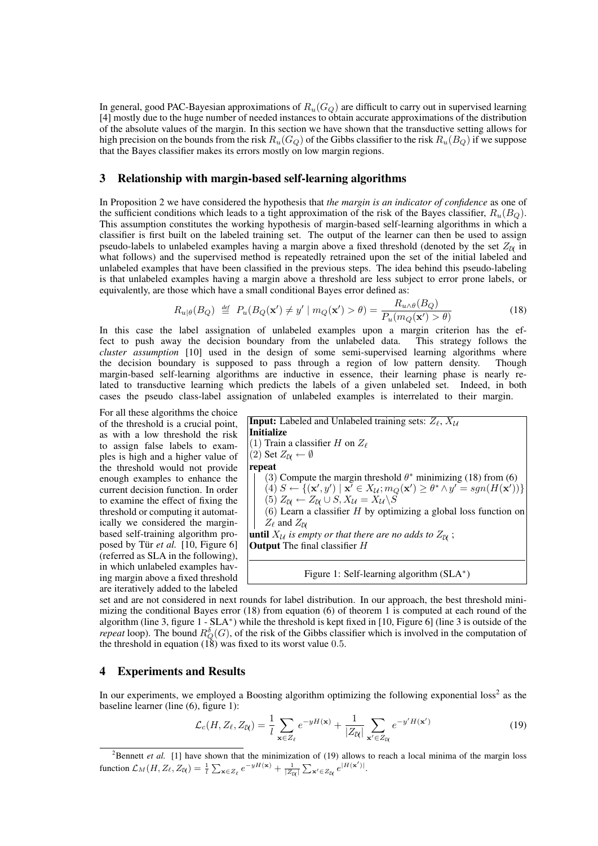In general, good PAC-Bayesian approximations of  $R_u(G_Q)$  are difficult to carry out in supervised learning [4] mostly due to the huge number of needed instances to obtain accurate approximations of the distribution of the absolute values of the margin. In this section we have shown that the transductive setting allows for high precision on the bounds from the risk  $R_u(G_Q)$  of the Gibbs classifier to the risk  $R_u(B_Q)$  if we suppose that the Bayes classifier makes its errors mostly on low margin regions.

## 3 Relationship with margin-based self-learning algorithms

In Proposition 2 we have considered the hypothesis that *the margin is an indicator of confidence* as one of the sufficient conditions which leads to a tight approximation of the risk of the Bayes classifier,  $R_u(B<sub>O</sub>)$ . This assumption constitutes the working hypothesis of margin-based self-learning algorithms in which a classifier is first built on the labeled training set. The output of the learner can then be used to assign pseudo-labels to unlabeled examples having a margin above a fixed threshold (denoted by the set  $Z_N$  in what follows) and the supervised method is repeatedly retrained upon the set of the initial labeled and unlabeled examples that have been classified in the previous steps. The idea behind this pseudo-labeling is that unlabeled examples having a margin above a threshold are less subject to error prone labels, or equivalently, are those which have a small conditional Bayes error defined as:

$$
R_{u|\theta}(B_Q) \stackrel{\text{def}}{=} P_u(B_Q(\mathbf{x}') \neq y' \mid m_Q(\mathbf{x}') > \theta) = \frac{R_{u \wedge \theta}(B_Q)}{P_u(m_Q(\mathbf{x}') > \theta)}\tag{18}
$$

In this case the label assignation of unlabeled examples upon a margin criterion has the effect to push away the decision boundary from the unlabeled data. This strategy follows the fect to push away the decision boundary from the unlabeled data. *cluster assumption* [10] used in the design of some semi-supervised learning algorithms where the decision boundary is supposed to pass through a region of low pattern density. Though margin-based self-learning algorithms are inductive in essence, their learning phase is nearly related to transductive learning which predicts the labels of a given unlabeled set. Indeed, in both cases the pseudo class-label assignation of unlabeled examples is interrelated to their margin.

For all these algorithms the choice of the threshold is a crucial point, as with a low threshold the risk to assign false labels to examples is high and a higher value of the threshold would not provide enough examples to enhance the current decision function. In order to examine the effect of fixing the threshold or computing it automatically we considered the marginbased self-training algorithm proposed by Tür *et al.* [10, Figure 6] (referred as SLA in the following), in which unlabeled examples having margin above a fixed threshold are iteratively added to the labeled

**Input:** Labeled and Unlabeled training sets:  $Z_{\ell}$ ,  $X_{\mathcal{U}}$ Initialize (1) Train a classifier H on  $Z_{\ell}$  $|(2)$  Set  $Z_{\mathcal{U}} \leftarrow \emptyset$ repeat (3) Compute the margin threshold  $\theta^*$  minimizing (18) from (6)  $(4)$   $S \leftarrow \{(\mathbf{x}', y') \mid \mathbf{x}' \in X_{\mathcal{U}}; m_Q(\mathbf{x}') \geq \theta^* \wedge y' = sgn(H(\mathbf{x}'))\}$ (5)  $Z_{\mathcal{U}} \leftarrow Z_{\mathcal{U}} \cup S, X_{\mathcal{U}} = X_{\mathcal{U}} \backslash S$  $(6)$  Learn a classifier H by optimizing a global loss function on  $Z_{\ell}$  and  $Z_{\ell}$ **until**  $X_{\mathcal{U}}$  is empty or that there are no adds to  $Z_{\mathcal{U}}$  ; Output The final classifier H Figure 1: Self-learning algorithm (SLA<sup>\*</sup>)

set and are not considered in next rounds for label distribution. In our approach, the best threshold minimizing the conditional Bayes error (18) from equation (6) of theorem 1 is computed at each round of the algorithm (line 3, figure 1 - SLA<sup>∗</sup> ) while the threshold is kept fixed in [10, Figure 6] (line 3 is outside of the *repeat* loop). The bound  $R_Q^{\delta}(G)$ , of the risk of the Gibbs classifier which is involved in the computation of the threshold in equation  $(18)$  was fixed to its worst value 0.5.

## 4 Experiments and Results

In our experiments, we employed a Boosting algorithm optimizing the following exponential loss<sup>2</sup> as the baseline learner (line (6), figure 1):

$$
\mathcal{L}_c(H, Z_\ell, Z_\mathcal{U}) = \frac{1}{l} \sum_{\mathbf{x} \in Z_\ell} e^{-yH(\mathbf{x})} + \frac{1}{|Z_\mathcal{U}|} \sum_{\mathbf{x}' \in Z_\mathcal{U}} e^{-y'H(\mathbf{x}')}\n\tag{19}
$$

<sup>&</sup>lt;sup>2</sup>Bennett *et al.* [1] have shown that the minimization of (19) allows to reach a local minima of the margin loss function  $\mathcal{L}_M(H, Z_\ell, Z_\mathcal{U}) = \frac{1}{l} \sum_{\mathbf{x} \in Z_\ell} e^{-yH(\mathbf{x})} + \frac{1}{|Z_\mathcal{U}|} \sum_{\mathbf{x}' \in Z_\mathcal{U}} e^{|H(\mathbf{x}')|}.$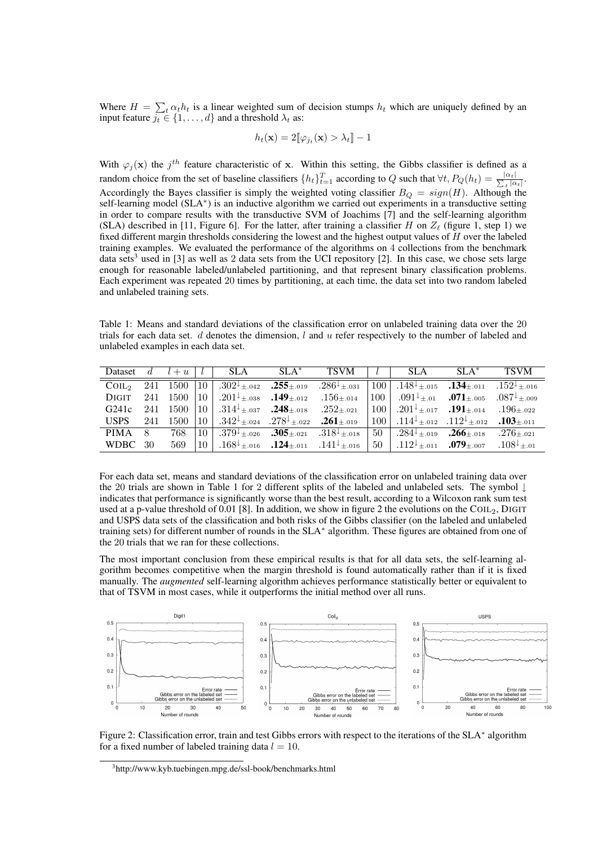Where  $H = \sum_{t} \alpha_t h_t$  is a linear weighted sum of decision stumps  $h_t$  which are uniquely defined by an input feature  $j_t \in \{1, \ldots, d\}$  and a threshold  $\lambda_t$  as:

$$
h_t(\mathbf{x}) = 2[\![\varphi_{j_t}(\mathbf{x}) > \lambda_t]\!] - 1
$$

With  $\varphi_j(\mathbf{x})$  the  $j^{th}$  feature characteristic of x. Within this setting, the Gibbs classifier is defined as a random choice from the set of baseline classifiers  $\{h_t\}_{t=1}^T$  according to Q such that  $\forall t, P_Q(h_t) = \frac{|\alpha_t|}{\sum_{t=1}^T |\alpha_t|}$  $\frac{\alpha_t}{\frac{1}{t} |\alpha_t|}$ . Accordingly the Bayes classifier is simply the weighted voting classifier  $B_Q = sign(H)$ . Although the self-learning model (SLA<sup>\*</sup>) is an inductive algorithm we carried out experiments in a transductive setting in order to compare results with the transductive SVM of Joachims [7] and the self-learning algorithm (SLA) described in [11, Figure 6]. For the latter, after training a classifier H on  $Z_{\ell}$  (figure 1, step 1) we fixed different margin thresholds considering the lowest and the highest output values of H over the labeled training examples. We evaluated the performance of the algorithms on 4 collections from the benchmark data sets<sup>3</sup> used in [3] as well as 2 data sets from the UCI repository [2]. In this case, we chose sets large enough for reasonable labeled/unlabeled partitioning, and that represent binary classification problems. Each experiment was repeated 20 times by partitioning, at each time, the data set into two random labeled and unlabeled training sets.

Table 1: Means and standard deviations of the classification error on unlabeled training data over the 20 trials for each data set. d denotes the dimension,  $l$  and  $u$  refer respectively to the number of labeled and unlabeled examples in each data set.

| Dataset $d \mid l+u \mid$ |     |             |                 | <b>SLA</b>                                                                                                                                                                    | $SLA^*$ | TSVM |                  | SLA                                                                                                    | $SLA^*$ | <b>TSVM</b>     |
|---------------------------|-----|-------------|-----------------|-------------------------------------------------------------------------------------------------------------------------------------------------------------------------------|---------|------|------------------|--------------------------------------------------------------------------------------------------------|---------|-----------------|
| COL <sub>2</sub>          |     | 241 1500 10 |                 | $\vert 0.302^{\downarrow} \pm .042$ .255 $\pm .019$ .286 $^{\downarrow} \pm .031$ $\vert 100 \vert 0.148^{\downarrow} \pm .015$ .134 $\pm .011$ .152 $^{\downarrow} \pm .016$ |         |      |                  |                                                                                                        |         |                 |
| <b>DIGIT</b>              |     |             |                 | 241 1500 10 $.201^{\downarrow}$ $_{\pm.038}$ .149 $_{\pm.012}$ .156 $_{\pm.014}$                                                                                              |         |      | 100 <sup>1</sup> | $.091^{\downarrow}$ $_{\pm.01}$ .071 $_{\pm.005}$ .087 <sup><math>\downarrow</math></sup> $_{\pm.009}$ |         |                 |
| G241c                     |     |             |                 | 241 1500 10 314 $\downarrow$ $\pm$ 037 <b>248</b> $\pm$ 018 252 $\pm$ 021                                                                                                     |         |      |                  | $100$ $.201^{\downarrow}$ $_{\pm.017}$ $.191$ $_{\pm.014}$ $.196$ $_{\pm.022}$                         |         |                 |
|                           |     |             |                 | <b>USPS</b> 241 1500 10 342 <sup>1</sup> $\pm$ 024 .278 <sup>1</sup> $\pm$ 022 .261 $\pm$ 019                                                                                 |         |      |                  | $100$ .114 <sup>t</sup> $\pm$ 012 .112 <sup>t</sup> $\pm$ 012 .103 $\pm$ 011                           |         |                 |
| PIMA                      | - 8 | 768         | 10 l            | 379 <sup>+</sup> $\pm$ .026 <b>305</b> $\pm$ .021 <b>318</b> <sup>+</sup> $\pm$ .018                                                                                          |         |      | $50-1$           | . $284^{\downarrow} \pm .019$ . $266 \pm .018$ . $276 \pm .021$                                        |         |                 |
| WDBC 30                   |     | 569         | 10 <sup>1</sup> | 141 <sup><math>\downarrow</math></sup> $\pm$ 016 <b>124</b> $\pm$ 011 <b>141</b> $\downarrow$ $\pm$ 016                                                                       |         |      | 50 l             | $.112^{\downarrow}$ $_{\pm .011}$ .079 $_{\pm .007}$                                                   |         | $.108^{+}$ + 01 |

For each data set, means and standard deviations of the classification error on unlabeled training data over the 20 trials are shown in Table 1 for 2 different splits of the labeled and unlabeled sets. The symbol ↓ indicates that performance is significantly worse than the best result, according to a Wilcoxon rank sum test used at a p-value threshold of 0.01 [8]. In addition, we show in figure 2 the evolutions on the COIL<sub>2</sub>, DIGIT and USPS data sets of the classification and both risks of the Gibbs classifier (on the labeled and unlabeled training sets) for different number of rounds in the SLA<sup>∗</sup> algorithm. These figures are obtained from one of the 20 trials that we ran for these collections.

The most important conclusion from these empirical results is that for all data sets, the self-learning algorithm becomes competitive when the margin threshold is found automatically rather than if it is fixed manually. The *augmented* self-learning algorithm achieves performance statistically better or equivalent to that of TSVM in most cases, while it outperforms the initial method over all runs.



Figure 2: Classification error, train and test Gibbs errors with respect to the iterations of the SLA<sup>∗</sup> algorithm for a fixed number of labeled training data  $l = 10$ .

<sup>3</sup> http://www.kyb.tuebingen.mpg.de/ssl-book/benchmarks.html